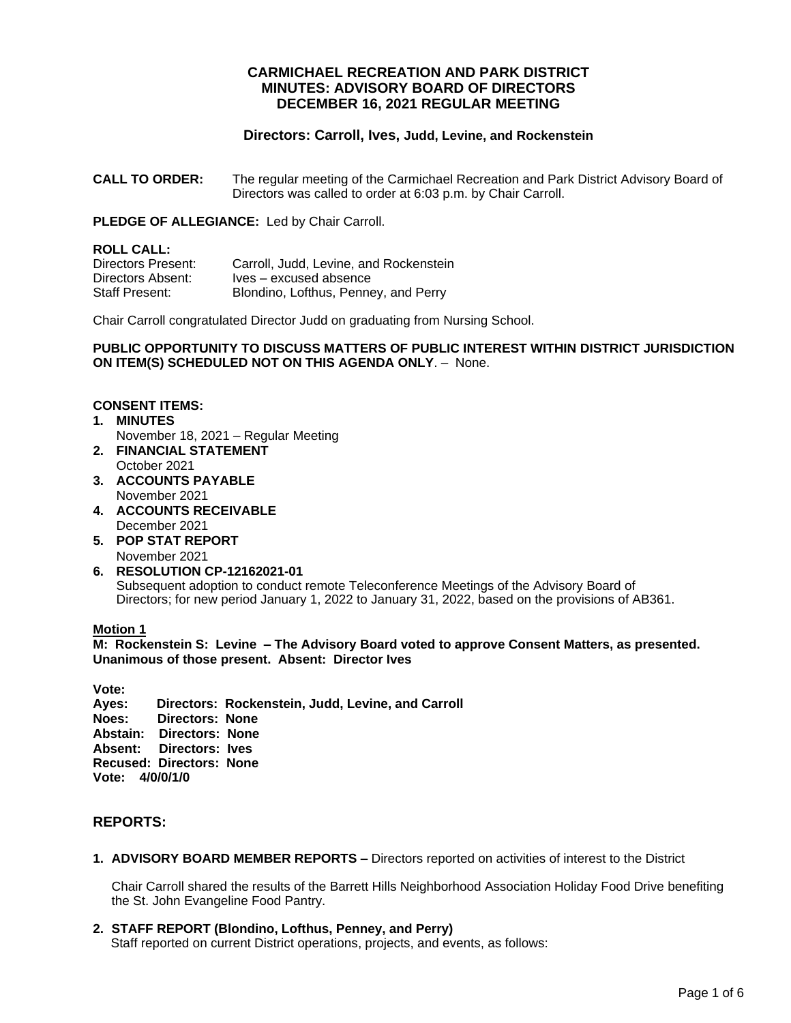# **CARMICHAEL RECREATION AND PARK DISTRICT MINUTES: ADVISORY BOARD OF DIRECTORS DECEMBER 16, 2021 REGULAR MEETING**

# **Directors: Carroll, Ives, Judd, Levine, and Rockenstein**

**CALL TO ORDER:** The regular meeting of the Carmichael Recreation and Park District Advisory Board of Directors was called to order at 6:03 p.m. by Chair Carroll.

**PLEDGE OF ALLEGIANCE:** Led by Chair Carroll.

**ROLL CALL:**<br>Directors Present: Carroll, Judd, Levine, and Rockenstein Directors Absent: Ives – excused absence<br>
Staff Present: Blondino, Lofthus, Penne Blondino, Lofthus, Penney, and Perry

Chair Carroll congratulated Director Judd on graduating from Nursing School.

#### **PUBLIC OPPORTUNITY TO DISCUSS MATTERS OF PUBLIC INTEREST WITHIN DISTRICT JURISDICTION ON ITEM(S) SCHEDULED NOT ON THIS AGENDA ONLY**. – None.

#### **CONSENT ITEMS:**

- **1. MINUTES** November 18, 2021 – Regular Meeting
- **2. FINANCIAL STATEMENT** October 2021
- **3. ACCOUNTS PAYABLE**  November 2021
- **4. ACCOUNTS RECEIVABLE** December 2021
- **5. POP STAT REPORT** November 2021
- **6. RESOLUTION CP-12162021-01** Subsequent adoption to conduct remote Teleconference Meetings of the Advisory Board of Directors; for new period January 1, 2022 to January 31, 2022, based on the provisions of AB361.

#### **Motion 1**

**M: Rockenstein S: Levine – The Advisory Board voted to approve Consent Matters, as presented. Unanimous of those present. Absent: Director Ives**

**Vote: Ayes: Directors: Rockenstein, Judd, Levine, and Carroll Noes: Directors: None Abstain: Directors: None Absent: Directors: Ives Recused: Directors: None Vote: 4/0/0/1/0**

# **REPORTS:**

**1. ADVISORY BOARD MEMBER REPORTS –** Directors reported on activities of interest to the District

Chair Carroll shared the results of the Barrett Hills Neighborhood Association Holiday Food Drive benefiting the St. John Evangeline Food Pantry.

**2. STAFF REPORT (Blondino, Lofthus, Penney, and Perry)** 

Staff reported on current District operations, projects, and events, as follows: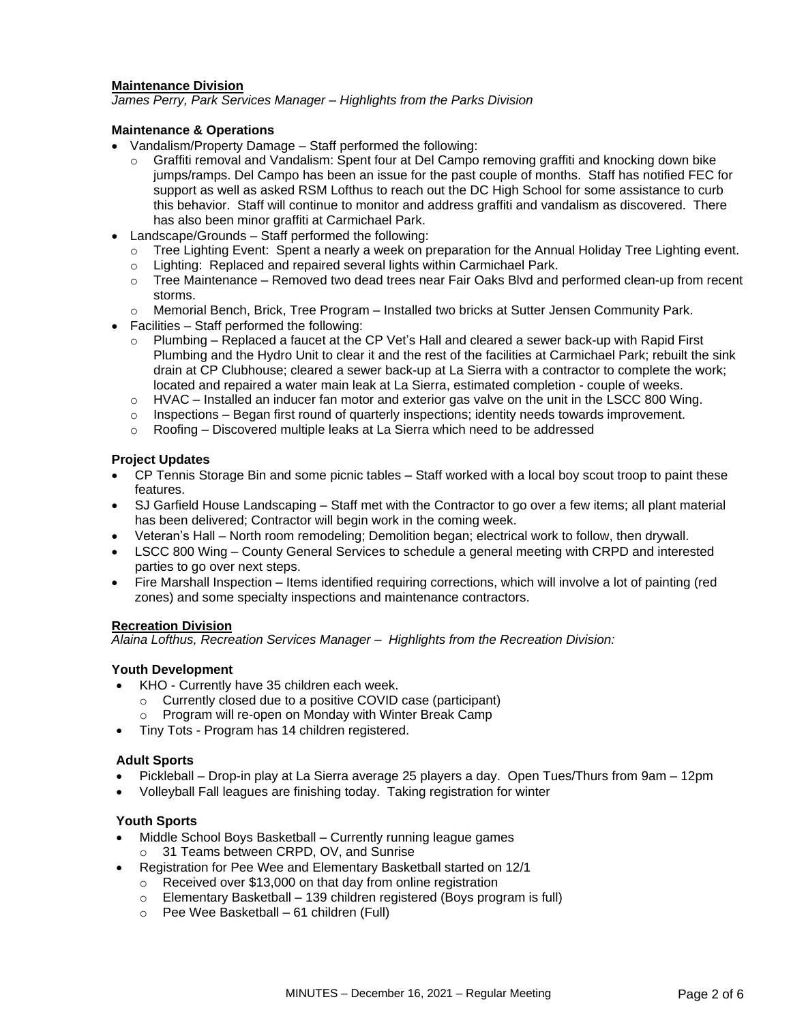#### **Maintenance Division**

*James Perry, Park Services Manager – Highlights from the Parks Division* 

### **Maintenance & Operations**

- Vandalism/Property Damage Staff performed the following:
	- Graffiti removal and Vandalism: Spent four at Del Campo removing graffiti and knocking down bike jumps/ramps. Del Campo has been an issue for the past couple of months. Staff has notified FEC for support as well as asked RSM Lofthus to reach out the DC High School for some assistance to curb this behavior. Staff will continue to monitor and address graffiti and vandalism as discovered. There has also been minor graffiti at Carmichael Park.
- Landscape/Grounds Staff performed the following:
	- $\circ$  Tree Lighting Event: Spent a nearly a week on preparation for the Annual Holiday Tree Lighting event.
	- o Lighting: Replaced and repaired several lights within Carmichael Park.
	- $\circ$  Tree Maintenance Removed two dead trees near Fair Oaks Blvd and performed clean-up from recent storms.
	- o Memorial Bench, Brick, Tree Program Installed two bricks at Sutter Jensen Community Park.
- Facilities Staff performed the following:
	- o Plumbing Replaced a faucet at the CP Vet's Hall and cleared a sewer back-up with Rapid First Plumbing and the Hydro Unit to clear it and the rest of the facilities at Carmichael Park; rebuilt the sink drain at CP Clubhouse; cleared a sewer back-up at La Sierra with a contractor to complete the work; located and repaired a water main leak at La Sierra, estimated completion - couple of weeks.
	- $\circ$  HVAC Installed an inducer fan motor and exterior gas valve on the unit in the LSCC 800 Wing.
	- $\circ$  Inspections Began first round of quarterly inspections; identity needs towards improvement.
	- $\circ$  Roofing Discovered multiple leaks at La Sierra which need to be addressed

# **Project Updates**

- CP Tennis Storage Bin and some picnic tables Staff worked with a local boy scout troop to paint these features.
- SJ Garfield House Landscaping Staff met with the Contractor to go over a few items; all plant material has been delivered; Contractor will begin work in the coming week.
- Veteran's Hall North room remodeling; Demolition began; electrical work to follow, then drywall.
- LSCC 800 Wing County General Services to schedule a general meeting with CRPD and interested parties to go over next steps.
- Fire Marshall Inspection Items identified requiring corrections, which will involve a lot of painting (red zones) and some specialty inspections and maintenance contractors.

#### **Recreation Division**

*Alaina Lofthus, Recreation Services Manager – Highlights from the Recreation Division:*

#### **Youth Development**

- KHO Currently have 35 children each week.
	- o Currently closed due to a positive COVID case (participant)
	- o Program will re-open on Monday with Winter Break Camp
- Tiny Tots Program has 14 children registered.

#### **Adult Sports**

- Pickleball Drop-in play at La Sierra average 25 players a day. Open Tues/Thurs from 9am 12pm
- Volleyball Fall leagues are finishing today. Taking registration for winter

#### **Youth Sports**

- Middle School Boys Basketball Currently running league games o 31 Teams between CRPD, OV, and Sunrise
- Registration for Pee Wee and Elementary Basketball started on 12/1
	- o Received over \$13,000 on that day from online registration
	- $\circ$  Elementary Basketball 139 children registered (Boys program is full)
	- o Pee Wee Basketball 61 children (Full)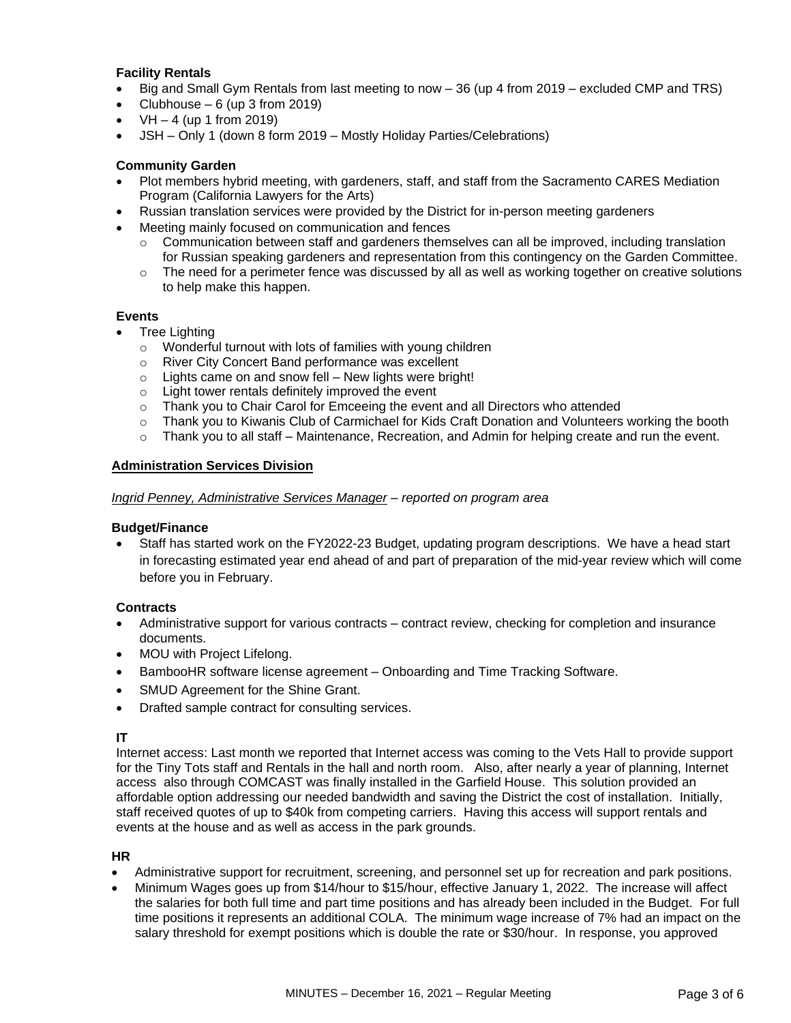### **Facility Rentals**

- Big and Small Gym Rentals from last meeting to now 36 (up 4 from 2019 excluded CMP and TRS)
- Clubhouse  $-6$  (up 3 from 2019)
- $VH 4$  (up 1 from 2019)
- JSH Only 1 (down 8 form 2019 Mostly Holiday Parties/Celebrations)

# **Community Garden**

- Plot members hybrid meeting, with gardeners, staff, and staff from the Sacramento CARES Mediation Program (California Lawyers for the Arts)
- Russian translation services were provided by the District for in-person meeting gardeners
- Meeting mainly focused on communication and fences
	- $\circ$  Communication between staff and gardeners themselves can all be improved, including translation for Russian speaking gardeners and representation from this contingency on the Garden Committee.
	- $\circ$  The need for a perimeter fence was discussed by all as well as working together on creative solutions to help make this happen.

#### **Events**

- Tree Lighting
	- o Wonderful turnout with lots of families with young children
	- o River City Concert Band performance was excellent
	- $\circ$  Lights came on and snow fell New lights were bright!
	- o Light tower rentals definitely improved the event
	- $\circ$  Thank you to Chair Carol for Emceeing the event and all Directors who attended
	- o Thank you to Kiwanis Club of Carmichael for Kids Craft Donation and Volunteers working the booth
	- $\circ$  Thank you to all staff Maintenance, Recreation, and Admin for helping create and run the event.

# **Administration Services Division**

#### *Ingrid Penney, Administrative Services Manager – reported on program area*

#### **Budget/Finance**

• Staff has started work on the FY2022-23 Budget, updating program descriptions. We have a head start in forecasting estimated year end ahead of and part of preparation of the mid-year review which will come before you in February.

#### **Contracts**

- Administrative support for various contracts contract review, checking for completion and insurance documents.
- MOU with Project Lifelong.
- BambooHR software license agreement Onboarding and Time Tracking Software.
- SMUD Agreement for the Shine Grant.
- Drafted sample contract for consulting services.

#### **IT**

Internet access: Last month we reported that Internet access was coming to the Vets Hall to provide support for the Tiny Tots staff and Rentals in the hall and north room. Also, after nearly a year of planning, Internet access also through COMCAST was finally installed in the Garfield House. This solution provided an affordable option addressing our needed bandwidth and saving the District the cost of installation. Initially, staff received quotes of up to \$40k from competing carriers. Having this access will support rentals and events at the house and as well as access in the park grounds.

#### **HR**

- Administrative support for recruitment, screening, and personnel set up for recreation and park positions.
- Minimum Wages goes up from \$14/hour to \$15/hour, effective January 1, 2022. The increase will affect the salaries for both full time and part time positions and has already been included in the Budget. For full time positions it represents an additional COLA. The minimum wage increase of 7% had an impact on the salary threshold for exempt positions which is double the rate or \$30/hour. In response, you approved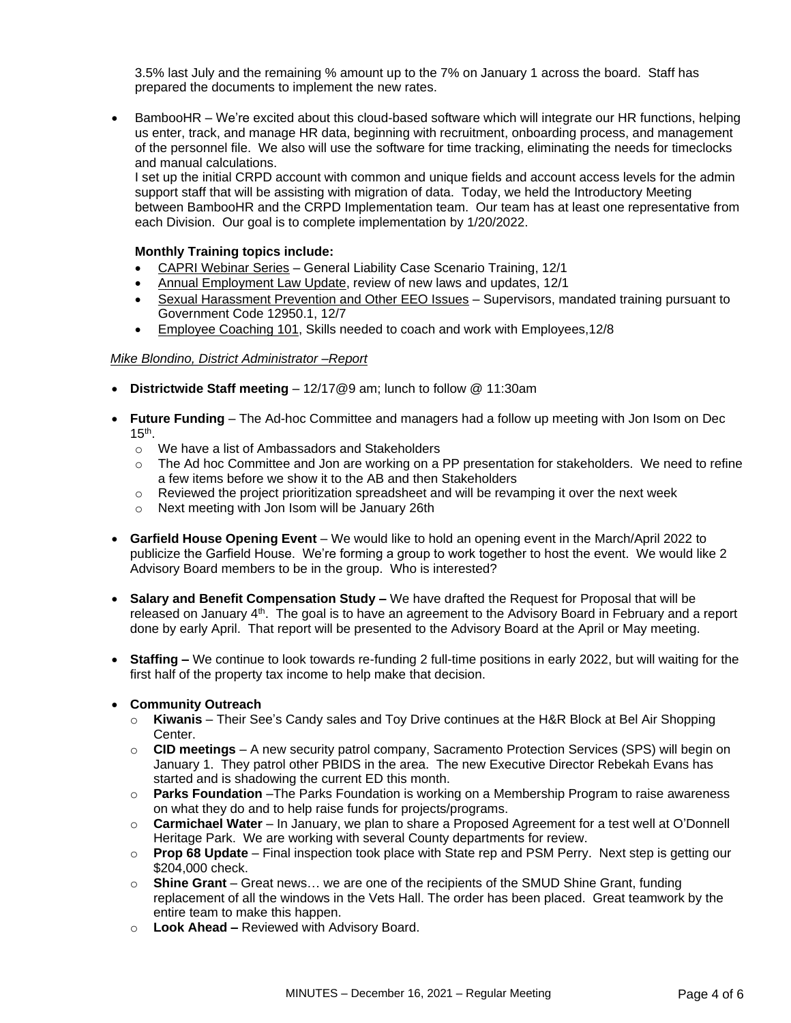3.5% last July and the remaining % amount up to the 7% on January 1 across the board. Staff has prepared the documents to implement the new rates.

• BambooHR – We're excited about this cloud-based software which will integrate our HR functions, helping us enter, track, and manage HR data, beginning with recruitment, onboarding process, and management of the personnel file. We also will use the software for time tracking, eliminating the needs for timeclocks and manual calculations.

I set up the initial CRPD account with common and unique fields and account access levels for the admin support staff that will be assisting with migration of data. Today, we held the Introductory Meeting between BambooHR and the CRPD Implementation team. Our team has at least one representative from each Division. Our goal is to complete implementation by 1/20/2022.

### **Monthly Training topics include:**

- CAPRI Webinar Series General Liability Case Scenario Training, 12/1
- Annual Employment Law Update, review of new laws and updates, 12/1
- Sexual Harassment Prevention and Other EEO Issues Supervisors, mandated training pursuant to Government Code 12950.1, 12/7
- Employee Coaching 101, Skills needed to coach and work with Employees,12/8

#### *Mike Blondino, District Administrator –Report*

- **Districtwide Staff meeting** 12/17@9 am; lunch to follow @ 11:30am
- **Future Funding** The Ad-hoc Committee and managers had a follow up meeting with Jon Isom on Dec  $15<sup>th</sup>$ .
	- o We have a list of Ambassadors and Stakeholders
	- o The Ad hoc Committee and Jon are working on a PP presentation for stakeholders. We need to refine a few items before we show it to the AB and then Stakeholders
	- $\circ$  Reviewed the project prioritization spreadsheet and will be revamping it over the next week
	- o Next meeting with Jon Isom will be January 26th
- **Garfield House Opening Event** We would like to hold an opening event in the March/April 2022 to publicize the Garfield House. We're forming a group to work together to host the event. We would like 2 Advisory Board members to be in the group. Who is interested?
- **Salary and Benefit Compensation Study –** We have drafted the Request for Proposal that will be released on January  $4<sup>th</sup>$ . The goal is to have an agreement to the Advisory Board in February and a report done by early April. That report will be presented to the Advisory Board at the April or May meeting.
- **Staffing –** We continue to look towards re-funding 2 full-time positions in early 2022, but will waiting for the first half of the property tax income to help make that decision.

#### • **Community Outreach**

- o **Kiwanis** Their See's Candy sales and Toy Drive continues at the H&R Block at Bel Air Shopping Center.
- o **CID meetings**  A new security patrol company, Sacramento Protection Services (SPS) will begin on January 1. They patrol other PBIDS in the area. The new Executive Director Rebekah Evans has started and is shadowing the current ED this month.
- o **Parks Foundation** –The Parks Foundation is working on a Membership Program to raise awareness on what they do and to help raise funds for projects/programs.
- o **Carmichael Water** In January, we plan to share a Proposed Agreement for a test well at O'Donnell Heritage Park. We are working with several County departments for review.
- o **Prop 68 Update** Final inspection took place with State rep and PSM Perry. Next step is getting our \$204,000 check.
- o **Shine Grant**  Great news… we are one of the recipients of the SMUD Shine Grant, funding replacement of all the windows in the Vets Hall. The order has been placed. Great teamwork by the entire team to make this happen.
- o **Look Ahead –** Reviewed with Advisory Board.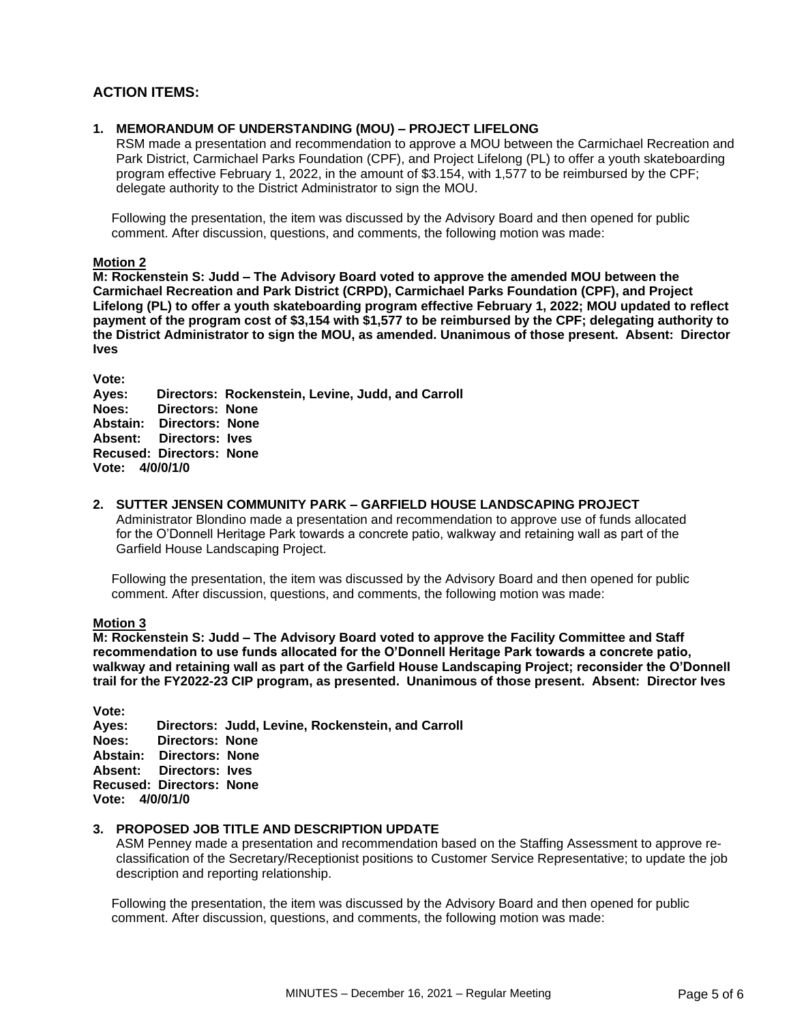# **ACTION ITEMS:**

#### **1. MEMORANDUM OF UNDERSTANDING (MOU) – PROJECT LIFELONG**

RSM made a presentation and recommendation to approve a MOU between the Carmichael Recreation and Park District, Carmichael Parks Foundation (CPF), and Project Lifelong (PL) to offer a youth skateboarding program effective February 1, 2022, in the amount of \$3.154, with 1,577 to be reimbursed by the CPF; delegate authority to the District Administrator to sign the MOU.

Following the presentation, the item was discussed by the Advisory Board and then opened for public comment. After discussion, questions, and comments, the following motion was made:

**Motion 2**

**M: Rockenstein S: Judd – The Advisory Board voted to approve the amended MOU between the Carmichael Recreation and Park District (CRPD), Carmichael Parks Foundation (CPF), and Project Lifelong (PL) to offer a youth skateboarding program effective February 1, 2022; MOU updated to reflect payment of the program cost of \$3,154 with \$1,577 to be reimbursed by the CPF; delegating authority to the District Administrator to sign the MOU, as amended. Unanimous of those present. Absent: Director Ives**

**Vote:** 

**Ayes: Directors: Rockenstein, Levine, Judd, and Carroll Noes: Directors: None Abstain: Directors: None Absent: Directors: Ives Recused: Directors: None Vote: 4/0/0/1/0**

**2. SUTTER JENSEN COMMUNITY PARK – GARFIELD HOUSE LANDSCAPING PROJECT** 

Administrator Blondino made a presentation and recommendation to approve use of funds allocated for the O'Donnell Heritage Park towards a concrete patio, walkway and retaining wall as part of the Garfield House Landscaping Project.

Following the presentation, the item was discussed by the Advisory Board and then opened for public comment. After discussion, questions, and comments, the following motion was made:

#### **Motion 3**

**M: Rockenstein S: Judd – The Advisory Board voted to approve the Facility Committee and Staff recommendation to use funds allocated for the O'Donnell Heritage Park towards a concrete patio, walkway and retaining wall as part of the Garfield House Landscaping Project; reconsider the O'Donnell trail for the FY2022-23 CIP program, as presented. Unanimous of those present. Absent: Director Ives**

**Vote: Ayes: Directors: Judd, Levine, Rockenstein, and Carroll Noes: Directors: None Abstain: Directors: None Absent: Directors: Ives Recused: Directors: None Vote: 4/0/0/1/0**

#### **3. PROPOSED JOB TITLE AND DESCRIPTION UPDATE**

ASM Penney made a presentation and recommendation based on the Staffing Assessment to approve reclassification of the Secretary/Receptionist positions to Customer Service Representative; to update the job description and reporting relationship.

Following the presentation, the item was discussed by the Advisory Board and then opened for public comment. After discussion, questions, and comments, the following motion was made: